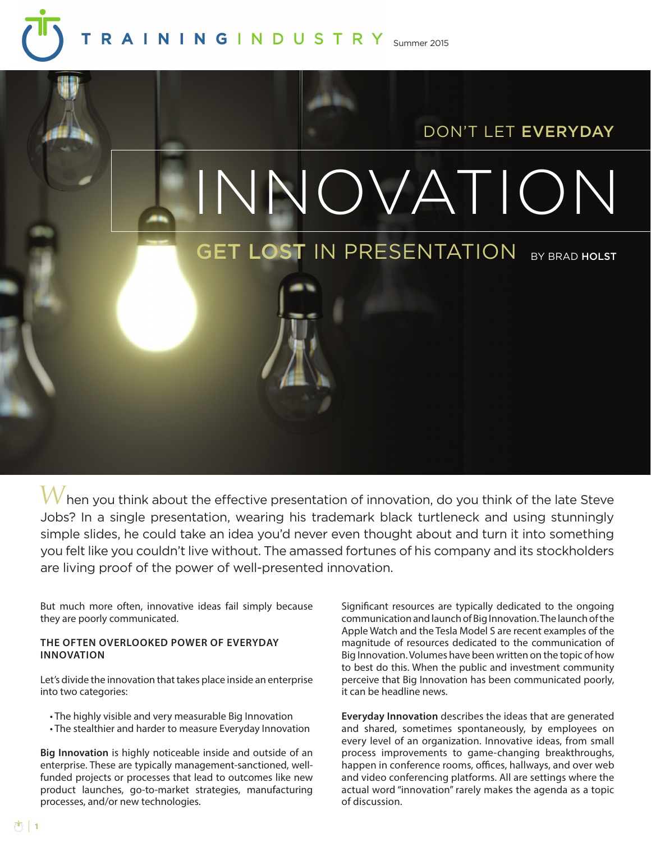# RAININGINDUSTRY Summer 2015



Jobs? In a single presentation, wearing his trademark black turtleneck and using stunningly simple slides, he could take an idea you'd never even thought about and turn it into something you felt like you couldn't live without. The amassed fortunes of his company and its stockholders are living proof of the power of well-presented innovation.

But much more often, innovative ideas fail simply because they are poorly communicated.

# **THE OFTEN OVERLOOKED POWER OF EVERYDAY INNOVATION**

Let's divide the innovation that takes place inside an enterprise into two categories:

- The highly visible and very measurable Big Innovation
- The stealthier and harder to measure Everyday Innovation

**Big Innovation** is highly noticeable inside and outside of an enterprise. These are typically management-sanctioned, wellfunded projects or processes that lead to outcomes like new product launches, go-to-market strategies, manufacturing processes, and/or new technologies.

Significant resources are typically dedicated to the ongoing communication and launch of Big Innovation. The launch of the Apple Watch and the Tesla Model S are recent examples of the magnitude of resources dedicated to the communication of Big Innovation. Volumes have been written on the topic of how to best do this. When the public and investment community perceive that Big Innovation has been communicated poorly, it can be headline news.

**Everyday Innovation** describes the ideas that are generated and shared, sometimes spontaneously, by employees on every level of an organization. Innovative ideas, from small process improvements to game-changing breakthroughs, happen in conference rooms, offices, hallways, and over web and video conferencing platforms. All are settings where the actual word "innovation" rarely makes the agenda as a topic of discussion.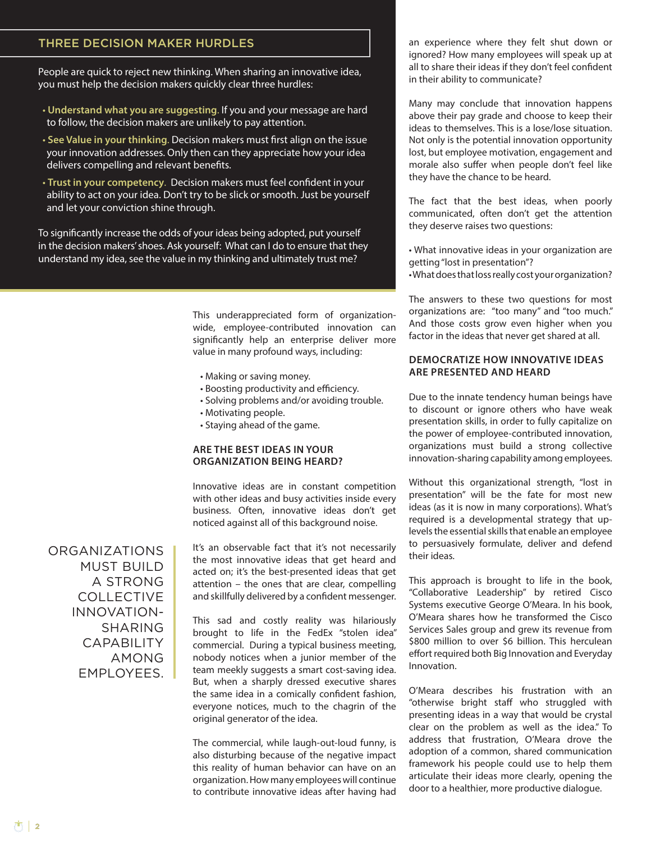# THREE DECISION MAKER HURDLES

People are quick to reject new thinking. When sharing an innovative idea, you must help the decision makers quickly clear three hurdles:

- **Understand what you are suggesting**. If you and your message are hard to follow, the decision makers are unlikely to pay attention.
- **See Value in your thinking**. Decision makers must first align on the issue your innovation addresses. Only then can they appreciate how your idea delivers compelling and relevant benefits.
- **Trust in your competency**. Decision makers must feel confident in your ability to act on your idea. Don't try to be slick or smooth. Just be yourself and let your conviction shine through.

To significantly increase the odds of your ideas being adopted, put yourself in the decision makers' shoes. Ask yourself: What can I do to ensure that they understand my idea, see the value in my thinking and ultimately trust me?

> This underappreciated form of organizationwide, employee-contributed innovation can significantly help an enterprise deliver more value in many profound ways, including:

- Making or saving money.
- Boosting productivity and efficiency.
- Solving problems and/or avoiding trouble.
- Motivating people.
- Staying ahead of the game.

## **ARE THE BEST IDEAS IN YOUR ORGANIZATION BEING HEARD?**

Innovative ideas are in constant competition with other ideas and busy activities inside every business. Often, innovative ideas don't get noticed against all of this background noise.

ORGANIZATIONS MUST BUILD A STRONG COLLECTIVE INNOVATION-SHARING CAPABILITY AMONG EMPLOYEES.

It's an observable fact that it's not necessarily the most innovative ideas that get heard and acted on; it's the best-presented ideas that get attention – the ones that are clear, compelling and skillfully delivered by a confident messenger.

This sad and costly reality was hilariously brought to life in the FedEx "stolen idea" commercial. During a typical business meeting, nobody notices when a junior member of the team meekly suggests a smart cost-saving idea. But, when a sharply dressed executive shares the same idea in a comically confident fashion, everyone notices, much to the chagrin of the original generator of the idea.

The commercial, while laugh-out-loud funny, is also disturbing because of the negative impact this reality of human behavior can have on an organization. How many employees will continue to contribute innovative ideas after having had

an experience where they felt shut down or ignored? How many employees will speak up at all to share their ideas if they don't feel confident in their ability to communicate?

Many may conclude that innovation happens above their pay grade and choose to keep their ideas to themselves. This is a lose/lose situation. Not only is the potential innovation opportunity lost, but employee motivation, engagement and morale also suffer when people don't feel like they have the chance to be heard.

The fact that the best ideas, when poorly communicated, often don't get the attention they deserve raises two questions:

• What innovative ideas in your organization are getting "lost in presentation"?

• What does that loss really cost your organization?

The answers to these two questions for most organizations are: "too many" and "too much." And those costs grow even higher when you factor in the ideas that never get shared at all.

# **DEMOCRATIZE HOW INNOVATIVE IDEAS ARE PRESENTED AND HEARD**

Due to the innate tendency human beings have to discount or ignore others who have weak presentation skills, in order to fully capitalize on the power of employee-contributed innovation, organizations must build a strong collective innovation-sharing capability among employees.

Without this organizational strength, "lost in presentation" will be the fate for most new ideas (as it is now in many corporations). What's required is a developmental strategy that uplevels the essential skills that enable an employee to persuasively formulate, deliver and defend their ideas.

This approach is brought to life in the book, "Collaborative Leadership" by retired Cisco Systems executive George O'Meara. In his book, O'Meara shares how he transformed the Cisco Services Sales group and grew its revenue from \$800 million to over \$6 billion. This herculean effort required both Big Innovation and Everyday Innovation.

O'Meara describes his frustration with an "otherwise bright staff who struggled with presenting ideas in a way that would be crystal clear on the problem as well as the idea." To address that frustration, O'Meara drove the adoption of a common, shared communication framework his people could use to help them articulate their ideas more clearly, opening the door to a healthier, more productive dialogue.